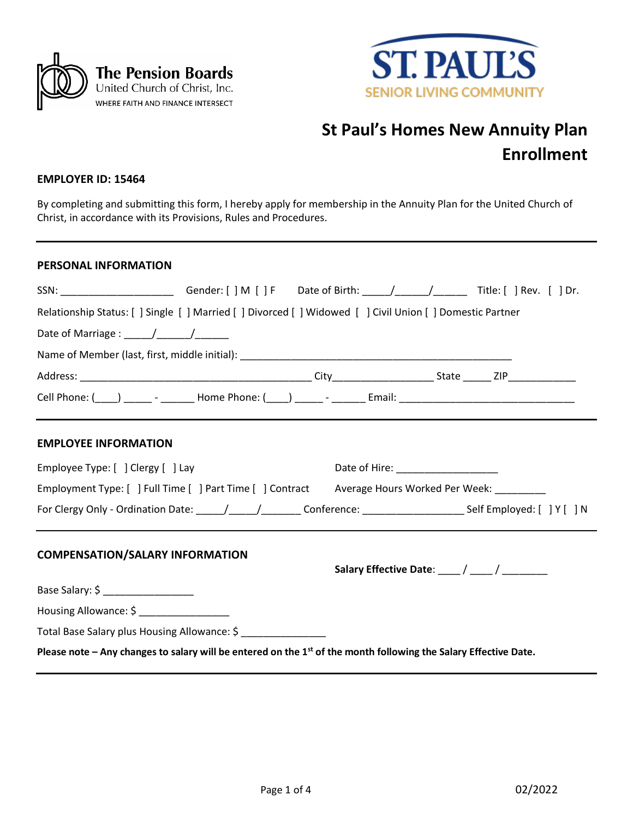



# **St Paul's Homes New Annuity Plan Enrollment**

## **EMPLOYER ID: 15464**

By completing and submitting this form, I hereby apply for membership in the Annuity Plan for the United Church of Christ, in accordance with its Provisions, Rules and Procedures.

## **PERSONAL INFORMATION**

| SSN: _________________________Gender: [ ] M [ ] F Date of Birth: _____/______/________Title: [ ] Rev. [ ] Dr.           |  |                                                |  |
|-------------------------------------------------------------------------------------------------------------------------|--|------------------------------------------------|--|
| Relationship Status: [ ] Single [ ] Married [ ] Divorced [ ] Widowed [ ] Civil Union [ ] Domestic Partner               |  |                                                |  |
| Date of Marriage : $\frac{1}{\frac{1}{2}}$                                                                              |  |                                                |  |
|                                                                                                                         |  |                                                |  |
|                                                                                                                         |  |                                                |  |
|                                                                                                                         |  |                                                |  |
| <b>EMPLOYEE INFORMATION</b>                                                                                             |  |                                                |  |
| Employee Type: [ ] Clergy [ ] Lay                                                                                       |  | Date of Hire: ___________________              |  |
| Employment Type: [ ] Full Time [ ] Part Time [ ] Contract Average Hours Worked Per Week: ________                       |  |                                                |  |
| For Clergy Only - Ordination Date: ____/____/___________Conference: _________________________Self Employed: [ ] Y [ ] N |  |                                                |  |
| <b>COMPENSATION/SALARY INFORMATION</b>                                                                                  |  | Salary Effective Date: ____ / ____ / _________ |  |
| Base Salary: \$ ________________                                                                                        |  |                                                |  |
| Housing Allowance: \$ _______________                                                                                   |  |                                                |  |
| Total Base Salary plus Housing Allowance: \$ ________________                                                           |  |                                                |  |
| Please note – Any changes to salary will be entered on the $1st$ of the month following the Salary Effective Date.      |  |                                                |  |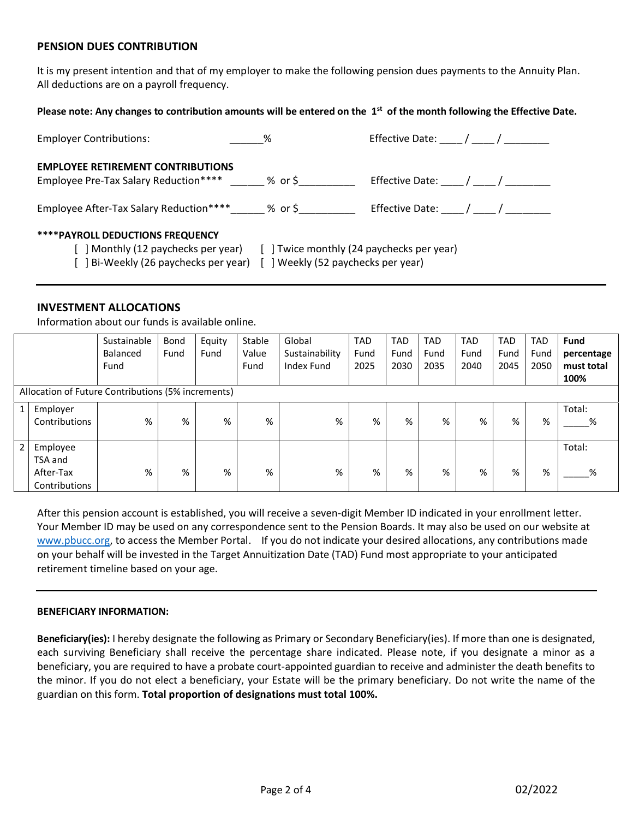# **PENSION DUES CONTRIBUTION**

It is my present intention and that of my employer to make the following pension dues payments to the Annuity Plan. All deductions are on a payroll frequency.

## **Please note: Any changes to contribution amounts will be entered on the 1st of the month following the Effective Date.**

| <b>Employer Contributions:</b>                                                                                          | $\%$                                                                            | Effective Date: / /                  |
|-------------------------------------------------------------------------------------------------------------------------|---------------------------------------------------------------------------------|--------------------------------------|
| <b>EMPLOYEE RETIREMENT CONTRIBUTIONS</b><br>Employee Pre-Tax Salary Reduction**** ______ % or \$                        |                                                                                 |                                      |
| Employee After-Tax Salary Reduction**** 26 or \$                                                                        |                                                                                 | Effective Date: $\frac{1}{\sqrt{2}}$ |
| <b>****PAYROLL DEDUCTIONS FREQUENCY</b><br>[ ] Monthly (12 paychecks per year)<br>[ ] Bi-Weekly (26 paychecks per year) | [ ] Twice monthly (24 paychecks per year)<br>[ ] Weekly (52 paychecks per year) |                                      |

# **INVESTMENT ALLOCATIONS**

Information about our funds is available online.

|                |                                                    | Sustainable | Bond | Equity | Stable | Global         | <b>TAD</b> | <b>TAD</b> | <b>TAD</b> | <b>TAD</b> | <b>TAD</b> | <b>TAD</b> | <b>Fund</b> |
|----------------|----------------------------------------------------|-------------|------|--------|--------|----------------|------------|------------|------------|------------|------------|------------|-------------|
|                |                                                    | Balanced    | Fund | Fund   | Value  | Sustainability | Fund       | Fund       | Fund       | Fund       | Fund       | Fund       | percentage  |
|                |                                                    | Fund        |      |        | Fund   | Index Fund     | 2025       | 2030       | 2035       | 2040       | 2045       | 2050       | must total  |
|                |                                                    |             |      |        |        |                |            |            |            |            |            |            | 100%        |
|                | Allocation of Future Contributions (5% increments) |             |      |        |        |                |            |            |            |            |            |            |             |
| $\mathbf{1}$   | Employer                                           |             |      |        |        |                |            |            |            |            |            |            | Total:      |
|                | Contributions                                      | %           | %    | %      | %      | %              | %          | %          | %          | %          | %          | %          | %           |
|                |                                                    |             |      |        |        |                |            |            |            |            |            |            |             |
| $\overline{2}$ | Employee                                           |             |      |        |        |                |            |            |            |            |            |            | Total:      |
|                | TSA and                                            |             |      |        |        |                |            |            |            |            |            |            |             |
|                | After-Tax                                          | %           | %    | %      | %      | %              | %          | %          | %          | %          | %          | %          | %           |
|                | Contributions                                      |             |      |        |        |                |            |            |            |            |            |            |             |

After this pension account is established, you will receive a seven-digit Member ID indicated in your enrollment letter. Your Member ID may be used on any correspondence sent to the Pension Boards. It may also be used on our website at [www.pbucc.org,](http://www.pbucc.org/) to access the Member Portal. If you do not indicate your desired allocations, any contributions made on your behalf will be invested in the Target Annuitization Date (TAD) Fund most appropriate to your anticipated retirement timeline based on your age.

#### **BENEFICIARY INFORMATION:**

**Beneficiary(ies):** I hereby designate the following as Primary or Secondary Beneficiary(ies). If more than one is designated, each surviving Beneficiary shall receive the percentage share indicated. Please note, if you designate a minor as a beneficiary, you are required to have a probate court-appointed guardian to receive and administer the death benefits to the minor. If you do not elect a beneficiary, your Estate will be the primary beneficiary. Do not write the name of the guardian on this form. **Total proportion of designations must total 100%.**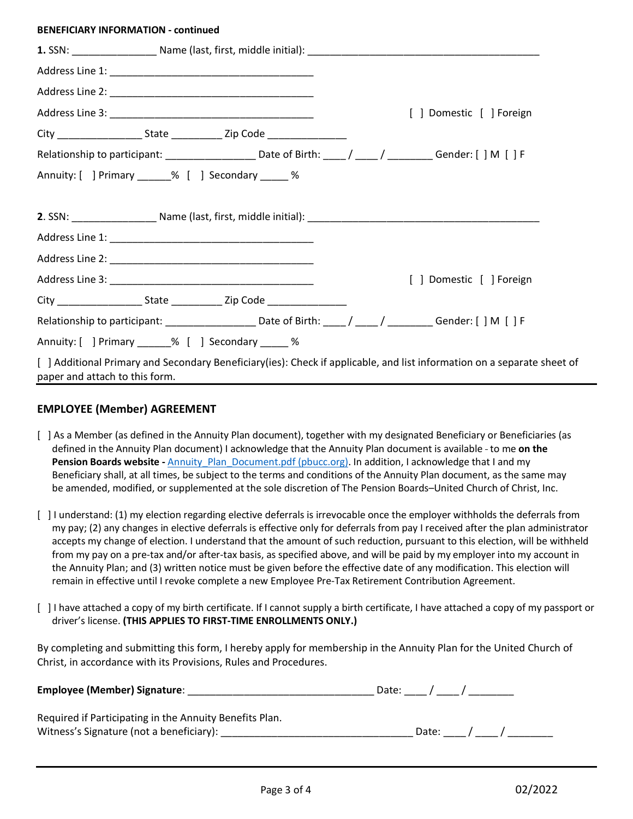#### **BENEFICIARY INFORMATION - continued**

|                                |                                                                                                              |  | [ ] Domestic [ ] Foreign                                                                                                |
|--------------------------------|--------------------------------------------------------------------------------------------------------------|--|-------------------------------------------------------------------------------------------------------------------------|
|                                |                                                                                                              |  |                                                                                                                         |
|                                | Relationship to participant: ______________________Date of Birth: _____/ _____/ _________Gender: [ ] M [ ] F |  |                                                                                                                         |
|                                | Annuity: [ ] Primary _____% [ ] Secondary _____ %                                                            |  |                                                                                                                         |
|                                |                                                                                                              |  |                                                                                                                         |
|                                |                                                                                                              |  |                                                                                                                         |
|                                |                                                                                                              |  | [ ] Domestic [ ] Foreign                                                                                                |
|                                |                                                                                                              |  |                                                                                                                         |
|                                | Relationship to participant: _____________________Date of Birth: _____/ _____/ _________Gender: [ ] M [ ] F  |  |                                                                                                                         |
|                                | Annuity: [ ] Primary _____% [ ] Secondary _____ %                                                            |  |                                                                                                                         |
| paper and attach to this form. |                                                                                                              |  | [ ] Additional Primary and Secondary Beneficiary(ies): Check if applicable, and list information on a separate sheet of |

# **EMPLOYEE (Member) AGREEMENT**

- [ ] As a Member (as defined in the Annuity Plan document), together with my designated Beneficiary or Beneficiaries (as defined in the Annuity Plan document) I acknowledge that the Annuity Plan document is available - to me on the **Pension Boards website -** Annuity Plan\_Document.pdf (pbucc.org). In addition, I acknowledge that I and my Beneficiary shall, at all times, be subject to the terms and conditions of the Annuity Plan document, as the same may be amended, modified, or supplemented at the sole discretion of The Pension Boards–United Church of Christ, Inc.
- [ ] I understand: (1) my election regarding elective deferrals is irrevocable once the employer withholds the deferrals from my pay; (2) any changes in elective deferrals is effective only for deferrals from pay I received after the plan administrator accepts my change of election. I understand that the amount of such reduction, pursuant to this election, will be withheld from my pay on a pre-tax and/or after-tax basis, as specified above, and will be paid by my employer into my account in the Annuity Plan; and (3) written notice must be given before the effective date of any modification. This election will remain in effective until I revoke complete a new Employee Pre-Tax Retirement Contribution Agreement.
- [ ] I have attached a copy of my birth certificate. If I cannot supply a birth certificate, I have attached a copy of my passport or driver's license. **(THIS APPLIES TO FIRST-TIME ENROLLMENTS ONLY.)**

By completing and submitting this form, I hereby apply for membership in the Annuity Plan for the United Church of Christ, in accordance with its Provisions, Rules and Procedures.

| <b>Employee (Member) Signature:</b>                     | Date: |             |  |
|---------------------------------------------------------|-------|-------------|--|
| Required if Participating in the Annuity Benefits Plan. |       |             |  |
| Witness's Signature (not a beneficiary):                |       | Date: Date: |  |